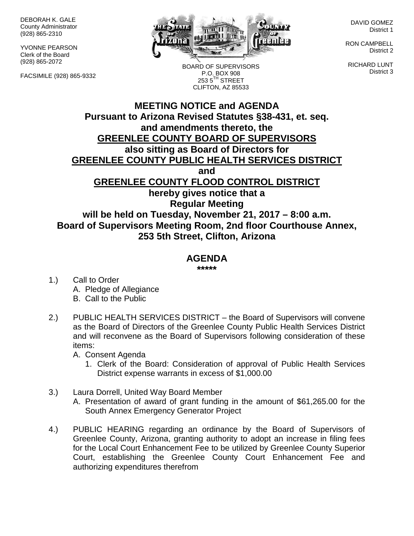DEBORAH K. GALE County Administrator (928) 865-2310

YVONNE PEARSON Clerk of the Board (928) 865-2072

FACSIMILE (928) 865-9332



DAVID GOMEZ District 1

RON CAMPBELL District 2

RICHARD LUNT District 3

**MEETING NOTICE and AGENDA** P.O. BOX 908  $2535^{\text{TH}}$  STREET CLIFTON, AZ 85533

BOARD OF SUPERVISORS

## **Pursuant to Arizona Revised Statutes §38-431, et. seq. and amendments thereto, the GREENLEE COUNTY BOARD OF SUPERVISORS also sitting as Board of Directors for GREENLEE COUNTY PUBLIC HEALTH SERVICES DISTRICT and GREENLEE COUNTY FLOOD CONTROL DISTRICT hereby gives notice that a Regular Meeting will be held on Tuesday, November 21, 2017 – 8:00 a.m. Board of Supervisors Meeting Room, 2nd floor Courthouse Annex, 253 5th Street, Clifton, Arizona**

## **AGENDA**

**\*\*\*\*\***

- 1.) Call to Order A. Pledge of Allegiance B. Call to the Public
- 2.) PUBLIC HEALTH SERVICES DISTRICT the Board of Supervisors will convene as the Board of Directors of the Greenlee County Public Health Services District and will reconvene as the Board of Supervisors following consideration of these items:

A. Consent Agenda

- 1. Clerk of the Board: Consideration of approval of Public Health Services District expense warrants in excess of \$1,000.00
- 3.) Laura Dorrell, United Way Board Member
	- A. Presentation of award of grant funding in the amount of \$61,265.00 for the South Annex Emergency Generator Project
- 4.) PUBLIC HEARING regarding an ordinance by the Board of Supervisors of Greenlee County, Arizona, granting authority to adopt an increase in filing fees for the Local Court Enhancement Fee to be utilized by Greenlee County Superior Court, establishing the Greenlee County Court Enhancement Fee and authorizing expenditures therefrom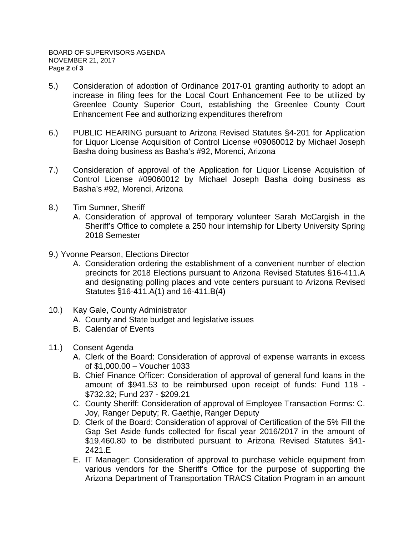- 5.) Consideration of adoption of Ordinance 2017-01 granting authority to adopt an increase in filing fees for the Local Court Enhancement Fee to be utilized by Greenlee County Superior Court, establishing the Greenlee County Court Enhancement Fee and authorizing expenditures therefrom
- 6.) PUBLIC HEARING pursuant to Arizona Revised Statutes §4-201 for Application for Liquor License Acquisition of Control License #09060012 by Michael Joseph Basha doing business as Basha's #92, Morenci, Arizona
- 7.) Consideration of approval of the Application for Liquor License Acquisition of Control License #09060012 by Michael Joseph Basha doing business as Basha's #92, Morenci, Arizona
- 8.) Tim Sumner, Sheriff
	- A. Consideration of approval of temporary volunteer Sarah McCargish in the Sheriff's Office to complete a 250 hour internship for Liberty University Spring 2018 Semester
- 9.) Yvonne Pearson, Elections Director
	- A. Consideration ordering the establishment of a convenient number of election precincts for 2018 Elections pursuant to Arizona Revised Statutes §16-411.A and designating polling places and vote centers pursuant to Arizona Revised Statutes §16-411.A(1) and 16-411.B(4)
- 10.) Kay Gale, County Administrator
	- A. County and State budget and legislative issues
	- B. Calendar of Events
- 11.) Consent Agenda
	- A. Clerk of the Board: Consideration of approval of expense warrants in excess of \$1,000.00 – Voucher 1033
	- B. Chief Finance Officer: Consideration of approval of general fund loans in the amount of \$941.53 to be reimbursed upon receipt of funds: Fund 118 - \$732.32; Fund 237 - \$209.21
	- C. County Sheriff: Consideration of approval of Employee Transaction Forms: C. Joy, Ranger Deputy; R. Gaethje, Ranger Deputy
	- D. Clerk of the Board: Consideration of approval of Certification of the 5% Fill the Gap Set Aside funds collected for fiscal year 2016/2017 in the amount of \$19,460.80 to be distributed pursuant to Arizona Revised Statutes §41- 2421.E
	- E. IT Manager: Consideration of approval to purchase vehicle equipment from various vendors for the Sheriff's Office for the purpose of supporting the Arizona Department of Transportation TRACS Citation Program in an amount